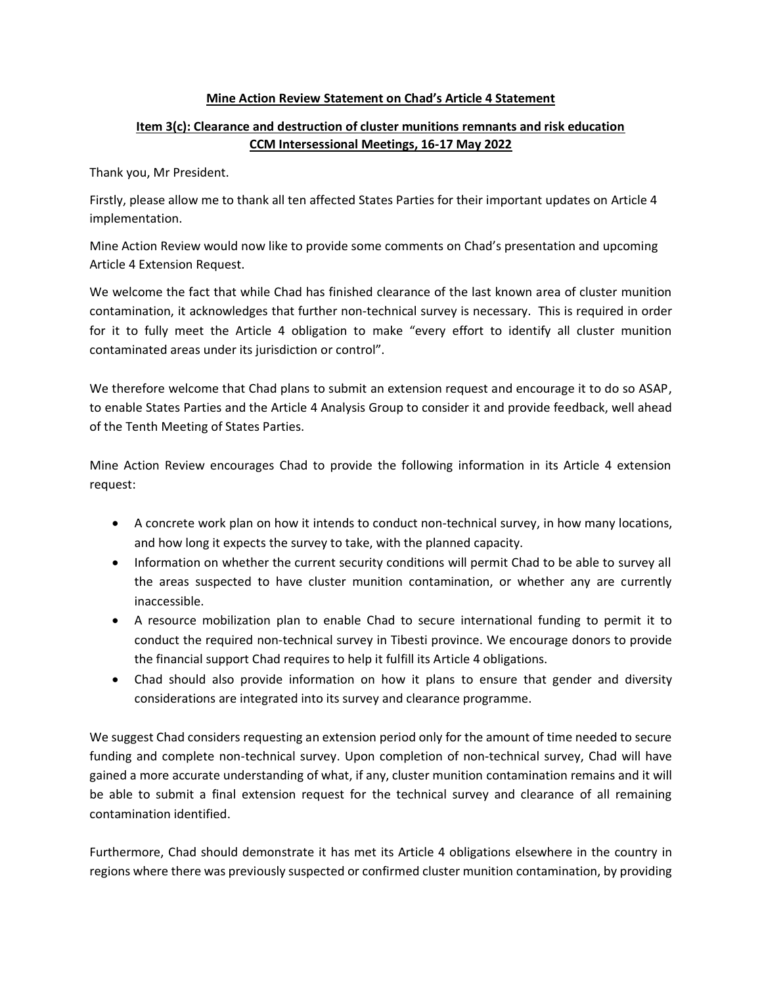## **Mine Action Review Statement on Chad's Article 4 Statement**

## **Item 3(c): Clearance and destruction of cluster munitions remnants and risk education CCM Intersessional Meetings, 16-17 May 2022**

Thank you, Mr President.

Firstly, please allow me to thank all ten affected States Parties for their important updates on Article 4 implementation.

Mine Action Review would now like to provide some comments on Chad's presentation and upcoming Article 4 Extension Request.

We welcome the fact that while Chad has finished clearance of the last known area of cluster munition contamination, it acknowledges that further non-technical survey is necessary. This is required in order for it to fully meet the Article 4 obligation to make "every effort to identify all cluster munition contaminated areas under its jurisdiction or control".

We therefore welcome that Chad plans to submit an extension request and encourage it to do so ASAP, to enable States Parties and the Article 4 Analysis Group to consider it and provide feedback, well ahead of the Tenth Meeting of States Parties.

Mine Action Review encourages Chad to provide the following information in its Article 4 extension request:

- A concrete work plan on how it intends to conduct non-technical survey, in how many locations, and how long it expects the survey to take, with the planned capacity.
- Information on whether the current security conditions will permit Chad to be able to survey all the areas suspected to have cluster munition contamination, or whether any are currently inaccessible.
- A resource mobilization plan to enable Chad to secure international funding to permit it to conduct the required non-technical survey in Tibesti province. We encourage donors to provide the financial support Chad requires to help it fulfill its Article 4 obligations.
- Chad should also provide information on how it plans to ensure that gender and diversity considerations are integrated into its survey and clearance programme.

We suggest Chad considers requesting an extension period only for the amount of time needed to secure funding and complete non-technical survey. Upon completion of non-technical survey, Chad will have gained a more accurate understanding of what, if any, cluster munition contamination remains and it will be able to submit a final extension request for the technical survey and clearance of all remaining contamination identified.

Furthermore, Chad should demonstrate it has met its Article 4 obligations elsewhere in the country in regions where there was previously suspected or confirmed cluster munition contamination, by providing